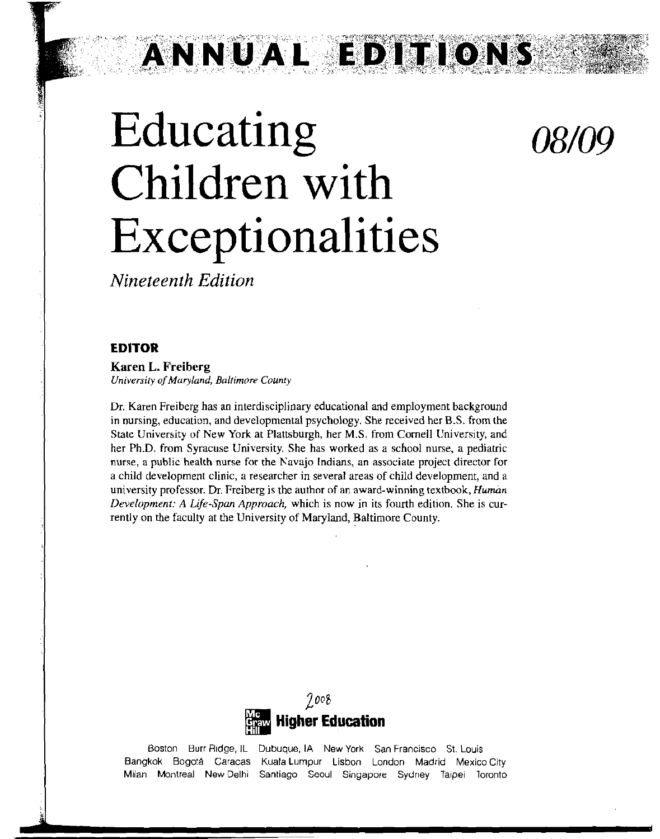*08/09* 

# Educating Children with Exceptionalities

ANNUAL EDITIO

*Nineteenth Edition* 

#### **EDITOR**

**Karen L. Freiberg**  University of Maryland, Baltimore Counry

Dr. Karen Freiberg has an interdisciplinary educational and employment background in nursing, education, and developmental psychology. She received her B.S. from the **State** University of New York at Plattsburgh, her M.S. from Cornell University, and her Ph.D. from Syracuse University. She has worked as a school nurse, a pediatric nurse, a public health nurse for the Navajo Indians, an associate project director for a child development clinic, a researcher in several areas of child development, and a university professor. Dr. Freiberg is the author of an award-winning textbook, Human Development: **A** Life-Span Approach, which is now in its fourth edition. She is currently on the faculty at the University of Maryland, Baltimore County.



Boston Burr Ridge, IL Dubuque, IA New York San Francisco St. Louis Bangkok Bogotá Caracas Kuala Lumpur Lisbon London Madrid Mexico City Milan Montreal NewDelhi Santiago Seoul Singapore Sydney Taipei Toronto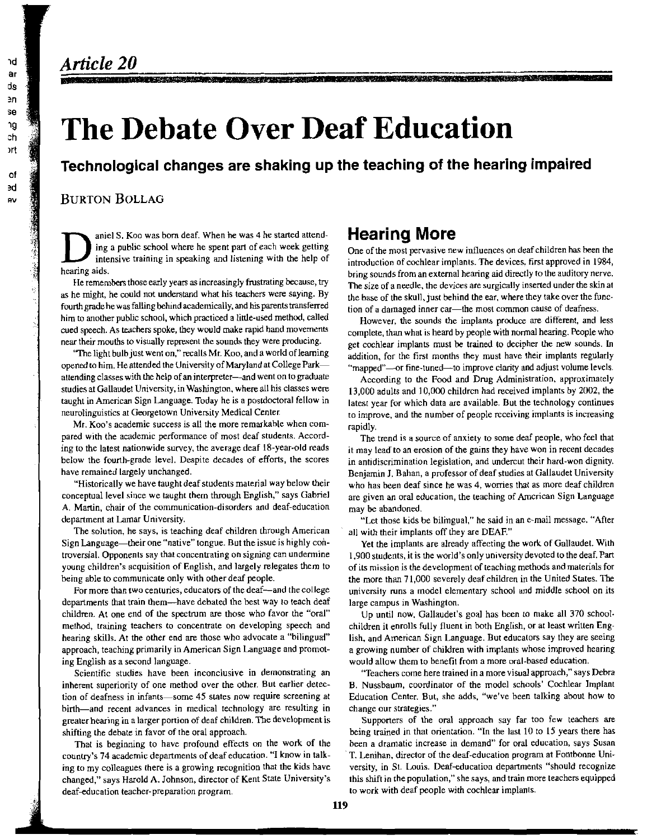### Article 20

## **The Debate Over Deaf Education**

**Technological changes are shaking up the teaching of the hearing impaired** 

#### **BURTON BOLLAG**

aniel S. Koo was born deaf. When he was 4 he started attend-<br>ing a public school where he spent part of each week getting<br>intensive training in speaking and listening with the help of<br>hearing sounds from an external hearin

He remembers those early years as increasingly trustrating because, try<br>as he might, he could not understand what his teachers were saying. By<br>fourth grade he was falling behind academically, and his parents transferred<br>fr **fourth grade he was falling behind academically, and his parents transferred** tion of a damaged inner car-the most common cause of deafness.<br>him to another public school, which practiced a little-used method, called<br>Howev him to another public school, which practiced a little-used method, called However, the sounds the implants produce are different, and less<br>called speech. As teachers spoke, they would make rapid hand movements complete th

The light bulb just went on," recalls Mr. Koo, and a world of learning addition, for the first months they must have their implants regularly opened to him. He attended the University of Maryland at College Park— "manned" opened to him. He attended the University of Maryland at College Park— "mapped"—or fine-tuned—to improve clarity and adjust volume levels.<br>attending classes with the help of an interpreter—and went on to graduate a coordin attending classes with the help of an interpreter—and went on to graduate According to the Food and Drug Administration, approximately<br>studies at Gallaudet University, in Washington, where all his classes were 13.000 adult studies at Gallaudet University, in Washington, where all his classes were 13,000 adults and 10,000 childrcn had received implants by 2002, the taggli and received implants by 2002, the taggli and received implants by 2002

Mr. Koo's academic success is all the more remarkable when com-<br>pared with the academic performance of most deaf students. Accord-<br>in the trend is a source of anxiety to some deaf people, who feel that<br>in ay lead to an ero ing to the latest nationwide survey, the average deaf 18-year-old reads it may lead to an erosion of the gains they have won in recent decades below the fourth-grade level. Despite decades of efforts, the scores in antidis below the fourth-grade level. Despite decades of efforts, the scores in antidiscrimination legislation, and undercut their hard-won dignity.<br>have remained largely unchanged.<br>Reniamin I Bahan, a professor of deaf studies at

"Historically we have taught deaf students material way below their who has been deaf since he was 4, worries that as more deaf children conceptual level since we taught them through English," says Gabriel are given an ora A. Martin, chair of the communication-disorders and deaf-education may be abandoned.<br>department at Lamar University. **The intervention of the conduct** "Let those kids b

The solution, he says, is teaching deaf children through American at all with their implants off they are DEAF." Sign Language-their one "native" tongue. But the issue is highly con- Yet the implants are already affecting the work of Gallaudet. With troversial. Opponents say that concentrating on signing can undermine 1,900 students, it is the world's only university devoted to the deaf. Part young children's acquisition of English, and largely relegates them to  $\frac{1$ being able to communicate only with other deaf people. the more than 71,000 severely deaf children in the United States. The

departments that train them—have debated the best way to teach deaf large campus in Washington.<br>
children. At one end of the spectrum are those who favor the "oral" Up until now. Gallaudet's method, training teachers to concentrate on developing speech and children it enrolls fully fluent in both English, or at least written Enghearing skills. At the other end are those who advocate a "bilingual" lish, and American Sign Language. But educators say they are seeing approach, teaching primarily in American Sign Language and promot- a growing number of children with implants whose improved hearing ing English as a second language. would allow them to benefit from a more oral-based education.

inherent superiority of one method over the other But earlier detec- 8. Nussbaum, coordinator of the model schools' Cochlear Implant tion of deafness in infants-some 45 slates now require screening at Education Center. But, she adds, "we've been talking about how to birth—and recent advances in medical technology are resulting in change our strategies."<br>greater hearing in a larger portion of deaf children. The development is Supporters of the oral approach say far too few teachers are greater hearing in a larger portion of deaf children. The development is shifting the debate in favor of the oral approach. being trained in that orientation. "In the last 10 to 15 years there has

country's 74 academic departments of deaf education. "I know in talk- ' T. Lenihan, director of the deaf-education program at Fontbonne Uniing to my colleagues there is a growing recognition that the kids have versity, in St. Louis. Deaf-education departments "should recognize changed," says Harold A. Johnson, director of Kent State University's this shift in the population," she says, and train more teachers equipped deaf-education teacher-preparation program. The state of the work with deaf people with cochlear implants.

One of the most pervasive new influences on deaf children has been the intensive training in speaking and listening with the help of introduction of cochlear implants. The devices, first approved in 1984,<br>bring sounds from an external hearing aid directly to the auditory nerve.<br>He remembers t

A MARINA MARINA MARINA MATERIALA (MARINA ANG

cued speech. As teachers spoke, they would make rapid hand movements<br>near their mouths to visually represent the sounds they were producing.<br>The light bulb just went on," recalls Mr. Koo, and a world of learning<br>"The light

taught in American Sign Language. Today he is a postdoctoral fellow in<br>neurolinguistics at Georgetown University Medical Center.<br>Mr. Koo's academic success is all the more remarkable when com-<br>Mr. Koo's academic success i

have remained largely unchanged. Benjamin **1.** Bahan, a professor of deaf studies at Gallaudet University are given an oral education, the teaching of Amcrican Sign Language

"Let those kids be bilingual," he said in an e-mail message. "After

of its mission is the development of teaching methods and materials for For more than two centuries, educators of the deaf--and the college university runs a model elementary school and middle school on its

Up until now, Gallaudet's goal has been to make all 370 school-

Scientific studies have been inconclusive in demonstrating an "Teachers come here trained in a more visual approach," says Debra

That is beginning to have profound effects on the work of the been a dramatic increase in demand" for oral education, says Susan